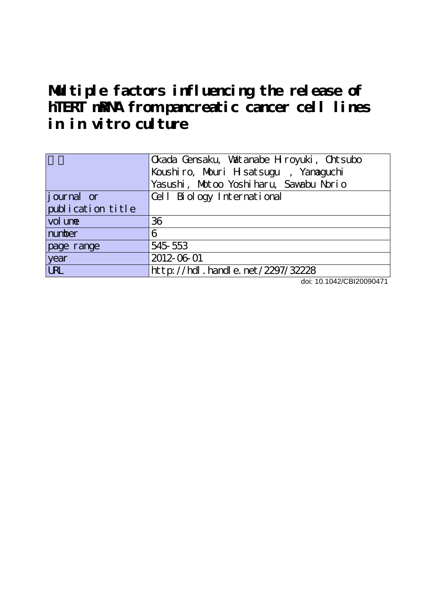# **Multiple factors influencing the release of hTERT mRNA from pancreatic cancer cell lines in in vitro culture**

|                   | Ckada Censaku, Watanabe Hroyuki, Chtsubo |
|-------------------|------------------------------------------|
|                   | Koushiro, Mouri Hisatsugu, Yanaguchi     |
|                   | Yasushi, Motoo Yoshiharu, Sawabu Norio   |
| journal or        | Cell Biology International               |
| publication title |                                          |
| vol une           | 36                                       |
| number            | 6                                        |
| page range        | 545 553                                  |
| year              | 2012-06-01                               |
| <b>LRL</b>        | http://hdl.handle.net/2297/32228         |

doi: 10.1042/CBI20090471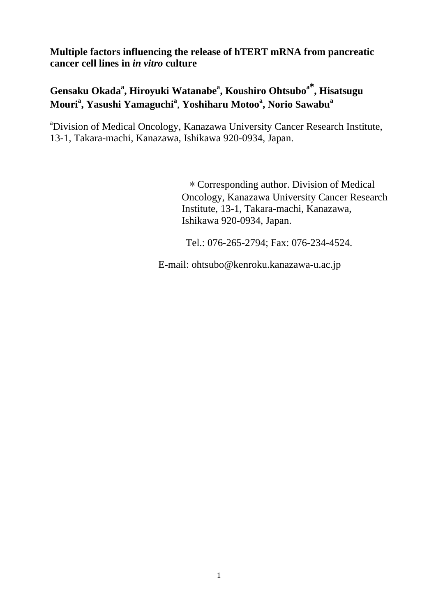**Multiple factors influencing the release of hTERT mRNA from pancreatic cancer cell lines in** *in vitro* **culture**

# **Gensaku Okadaa , Hiroyuki Watanabe<sup>a</sup> , Koushiro Ohtsubo<sup>a</sup>**\* **, Hisatsugu Mouri<sup>a</sup> , Yasushi Yamaguchi<sup>a</sup>** , **Yoshiharu Motoo<sup>a</sup> , Norio Sawabu<sup>a</sup>**

<sup>a</sup>Division of Medical Oncology, Kanazawa University Cancer Research Institute, 13-1, Takara-machi, Kanazawa, Ishikawa 920-0934, Japan.

> \* Corresponding author. Division of Medical Oncology, Kanazawa University Cancer Research Institute, 13-1, Takara-machi, Kanazawa, Ishikawa 920-0934, Japan.

Tel.: 076-265-2794; Fax: 076-234-4524.

E-mail: ohtsubo@kenroku.kanazawa-u.ac.jp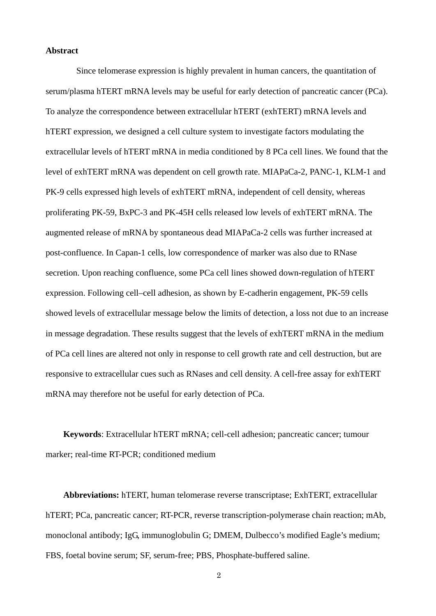#### **Abstract**

Since telomerase expression is highly prevalent in human cancers, the quantitation of serum/plasma hTERT mRNA levels may be useful for early detection of pancreatic cancer (PCa). To analyze the correspondence between extracellular hTERT (exhTERT) mRNA levels and hTERT expression, we designed a cell culture system to investigate factors modulating the extracellular levels of hTERT mRNA in media conditioned by 8 PCa cell lines. We found that the level of exhTERT mRNA was dependent on cell growth rate. MIAPaCa-2, PANC-1, KLM-1 and PK-9 cells expressed high levels of exhTERT mRNA, independent of cell density, whereas proliferating PK-59, BxPC-3 and PK-45H cells released low levels of exhTERT mRNA. The augmented release of mRNA by spontaneous dead MIAPaCa-2 cells was further increased at post-confluence. In Capan-1 cells, low correspondence of marker was also due to RNase secretion. Upon reaching confluence, some PCa cell lines showed down-regulation of hTERT expression. Following cell–cell adhesion, as shown by E-cadherin engagement, PK-59 cells showed levels of extracellular message below the limits of detection, a loss not due to an increase in message degradation. These results suggest that the levels of exhTERT mRNA in the medium of PCa cell lines are altered not only in response to cell growth rate and cell destruction, but are responsive to extracellular cues such as RNases and cell density. A cell-free assay for exhTERT mRNA may therefore not be useful for early detection of PCa.

**Keywords**: Extracellular hTERT mRNA; cell-cell adhesion; pancreatic cancer; tumour marker; real-time RT-PCR; conditioned medium

**Abbreviations:** hTERT, human telomerase reverse transcriptase; ExhTERT, extracellular hTERT; PCa, pancreatic cancer; RT-PCR, reverse transcription-polymerase chain reaction; mAb, monoclonal antibody; IgG, immunoglobulin G; DMEM, Dulbecco's modified Eagle's medium; FBS, foetal bovine serum; SF, serum-free; PBS, Phosphate-buffered saline.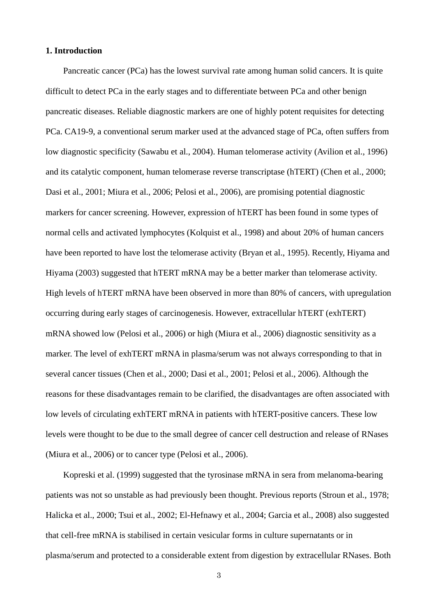#### **1. Introduction**

Pancreatic cancer (PCa) has the lowest survival rate among human solid cancers. It is quite difficult to detect PCa in the early stages and to differentiate between PCa and other benign pancreatic diseases. Reliable diagnostic markers are one of highly potent requisites for detecting PCa. CA19-9, a conventional serum marker used at the advanced stage of PCa, often suffers from low diagnostic specificity (Sawabu et al., 2004). Human telomerase activity (Avilion et al., 1996) and its catalytic component, human telomerase reverse transcriptase (hTERT) (Chen et al., 2000; Dasi et al., 2001; Miura et al., 2006; Pelosi et al., 2006), are promising potential diagnostic markers for cancer screening. However, expression of hTERT has been found in some types of normal cells and activated lymphocytes (Kolquist et al., 1998) and about 20% of human cancers have been reported to have lost the telomerase activity (Bryan et al., 1995). Recently, Hiyama and Hiyama (2003) suggested that hTERT mRNA may be a better marker than telomerase activity. High levels of hTERT mRNA have been observed in more than 80% of cancers, with upregulation occurring during early stages of carcinogenesis. However, extracellular hTERT (exhTERT) mRNA showed low (Pelosi et al., 2006) or high (Miura et al., 2006) diagnostic sensitivity as a marker. The level of exhTERT mRNA in plasma/serum was not always corresponding to that in several cancer tissues (Chen et al., 2000; Dasi et al., 2001; Pelosi et al., 2006). Although the reasons for these disadvantages remain to be clarified, the disadvantages are often associated with low levels of circulating exhTERT mRNA in patients with hTERT-positive cancers. These low levels were thought to be due to the small degree of cancer cell destruction and release of RNases (Miura et al., 2006) or to cancer type (Pelosi et al., 2006).

Kopreski et al. (1999) suggested that the tyrosinase mRNA in sera from melanoma-bearing patients was not so unstable as had previously been thought. Previous reports (Stroun et al., 1978; Halicka et al., 2000; Tsui et al., 2002; El-Hefnawy et al., 2004; Garcia et al., 2008) also suggested that cell-free mRNA is stabilised in certain vesicular forms in culture supernatants or in plasma/serum and protected to a considerable extent from digestion by extracellular RNases. Both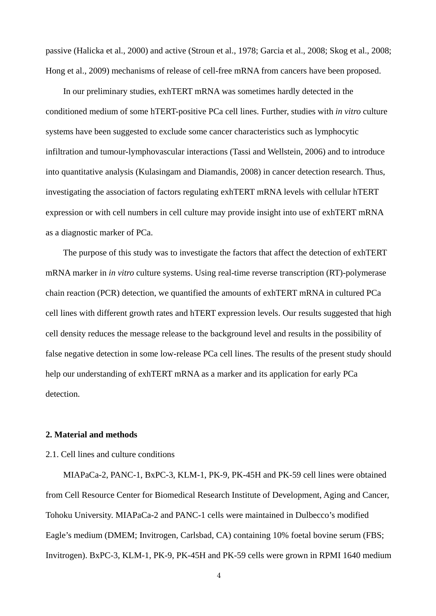passive (Halicka et al., 2000) and active (Stroun et al., 1978; Garcia et al., 2008; Skog et al., 2008; Hong et al., 2009) mechanisms of release of cell-free mRNA from cancers have been proposed.

In our preliminary studies, exhTERT mRNA was sometimes hardly detected in the conditioned medium of some hTERT-positive PCa cell lines. Further, studies with *in vitro* culture systems have been suggested to exclude some cancer characteristics such as lymphocytic infiltration and tumour-lymphovascular interactions (Tassi and Wellstein, 2006) and to introduce into quantitative analysis (Kulasingam and Diamandis, 2008) in cancer detection research. Thus, investigating the association of factors regulating exhTERT mRNA levels with cellular hTERT expression or with cell numbers in cell culture may provide insight into use of exhTERT mRNA as a diagnostic marker of PCa.

The purpose of this study was to investigate the factors that affect the detection of exhTERT mRNA marker in *in vitro* culture systems. Using real-time reverse transcription (RT)-polymerase chain reaction (PCR) detection, we quantified the amounts of exhTERT mRNA in cultured PCa cell lines with different growth rates and hTERT expression levels. Our results suggested that high cell density reduces the message release to the background level and results in the possibility of false negative detection in some low-release PCa cell lines. The results of the present study should help our understanding of exhTERT mRNA as a marker and its application for early PCa detection.

#### **2. Material and methods**

# 2.1. Cell lines and culture conditions

MIAPaCa-2, PANC-1, BxPC-3, KLM-1, PK-9, PK-45H and PK-59 cell lines were obtained from Cell Resource Center for Biomedical Research Institute of Development, Aging and Cancer, Tohoku University. MIAPaCa-2 and PANC-1 cells were maintained in Dulbecco's modified Eagle's medium (DMEM; Invitrogen, Carlsbad, CA) containing 10% foetal bovine serum (FBS; Invitrogen). BxPC-3, KLM-1, PK-9, PK-45H and PK-59 cells were grown in RPMI 1640 medium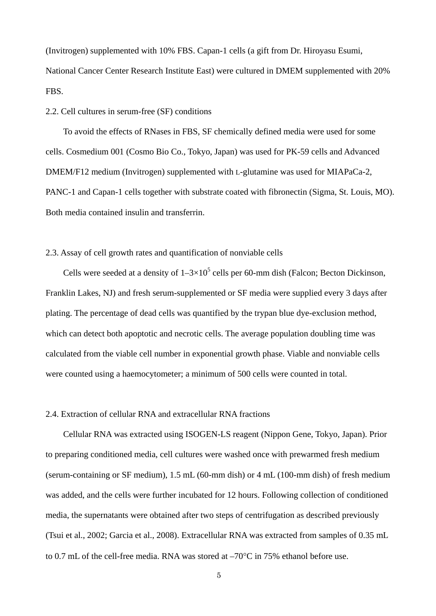(Invitrogen) supplemented with 10% FBS. Capan-1 cells (a gift from Dr. Hiroyasu Esumi, National Cancer Center Research Institute East) were cultured in DMEM supplemented with 20% FBS.

#### 2.2. Cell cultures in serum-free (SF) conditions

To avoid the effects of RNases in FBS, SF chemically defined media were used for some cells. Cosmedium 001 (Cosmo Bio Co., Tokyo, Japan) was used for PK-59 cells and Advanced DMEM/F12 medium (Invitrogen) supplemented with L-glutamine was used for MIAPaCa-2, PANC-1 and Capan-1 cells together with substrate coated with fibronectin (Sigma, St. Louis, MO). Both media contained insulin and transferrin.

# 2.3. Assay of cell growth rates and quantification of nonviable cells

Cells were seeded at a density of  $1-3\times10^5$  cells per 60-mm dish (Falcon; Becton Dickinson, Franklin Lakes, NJ) and fresh serum-supplemented or SF media were supplied every 3 days after plating. The percentage of dead cells was quantified by the trypan blue dye-exclusion method, which can detect both apoptotic and necrotic cells. The average population doubling time was calculated from the viable cell number in exponential growth phase. Viable and nonviable cells were counted using a haemocytometer; a minimum of 500 cells were counted in total.

# 2.4. Extraction of cellular RNA and extracellular RNA fractions

Cellular RNA was extracted using ISOGEN-LS reagent (Nippon Gene, Tokyo, Japan). Prior to preparing conditioned media, cell cultures were washed once with prewarmed fresh medium (serum-containing or SF medium), 1.5 mL (60-mm dish) or 4 mL (100-mm dish) of fresh medium was added, and the cells were further incubated for 12 hours. Following collection of conditioned media, the supernatants were obtained after two steps of centrifugation as described previously (Tsui et al., 2002; Garcia et al., 2008). Extracellular RNA was extracted from samples of 0.35 mL to 0.7 mL of the cell-free media. RNA was stored at  $-70^{\circ}$ C in 75% ethanol before use.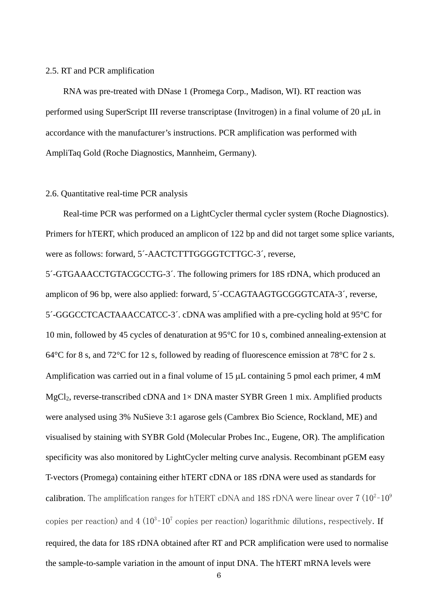#### 2.5. RT and PCR amplification

RNA was pre-treated with DNase 1 (Promega Corp., Madison, WI). RT reaction was performed using SuperScript III reverse transcriptase (Invitrogen) in a final volume of  $20 \mu L$  in accordance with the manufacturer's instructions. PCR amplification was performed with AmpliTaq Gold (Roche Diagnostics, Mannheim, Germany).

#### 2.6. Quantitative real-time PCR analysis

Real-time PCR was performed on a LightCycler thermal cycler system (Roche Diagnostics). Primers for hTERT, which produced an amplicon of 122 bp and did not target some splice variants, were as follows: forward, 5´-AACTCTTTGGGGTCTTGC-3´, reverse,

5´-GTGAAACCTGTACGCCTG-3´. The following primers for 18S rDNA, which produced an amplicon of 96 bp, were also applied: forward, 5´-CCAGTAAGTGCGGGTCATA-3´, reverse, 5´-GGGCCTCACTAAACCATCC-3´. cDNA was amplified with a pre-cycling hold at 95°C for 10 min, followed by 45 cycles of denaturation at 95°C for 10 s, combined annealing-extension at 64 $\degree$ C for 8 s, and 72 $\degree$ C for 12 s, followed by reading of fluorescence emission at 78 $\degree$ C for 2 s. Amplification was carried out in a final volume of  $15 \mu$ L containing 5 pmol each primer, 4 mM MgCl<sub>2</sub>, reverse-transcribed cDNA and  $1\times$  DNA master SYBR Green 1 mix. Amplified products were analysed using 3% NuSieve 3:1 agarose gels (Cambrex Bio Science, Rockland, ME) and visualised by staining with SYBR Gold (Molecular Probes Inc., Eugene, OR). The amplification specificity was also monitored by LightCycler melting curve analysis. Recombinant pGEM easy T-vectors (Promega) containing either hTERT cDNA or 18S rDNA were used as standards for calibration. The amplification ranges for hTERT cDNA and 18S rDNA were linear over 7 (10 $^{\rm 2-10^{\rm 9}}$ copies per reaction) and  $4(10^3$ -10<sup>7</sup> copies per reaction) logarithmic dilutions, respectively. If required, the data for 18S rDNA obtained after RT and PCR amplification were used to normalise the sample-to-sample variation in the amount of input DNA. The hTERT mRNA levels were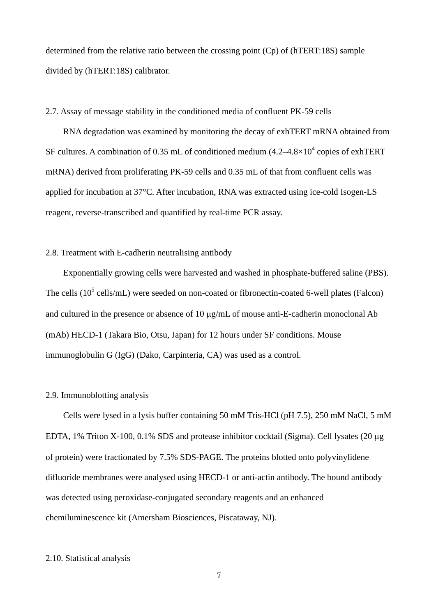determined from the relative ratio between the crossing point (Cp) of (hTERT:18S) sample divided by (hTERT:18S) calibrator.

#### 2.7. Assay of message stability in the conditioned media of confluent PK-59 cells

RNA degradation was examined by monitoring the decay of exhTERT mRNA obtained from SF cultures. A combination of 0.35 mL of conditioned medium  $(4.2-4.8\times10^{4}$  copies of exhTERT mRNA) derived from proliferating PK-59 cells and 0.35 mL of that from confluent cells was applied for incubation at 37°C. After incubation, RNA was extracted using ice-cold Isogen-LS reagent, reverse-transcribed and quantified by real-time PCR assay.

# 2.8. Treatment with E-cadherin neutralising antibody

Exponentially growing cells were harvested and washed in phosphate-buffered saline (PBS). The cells  $(10^5 \text{ cells/mL})$  were seeded on non-coated or fibronectin-coated 6-well plates (Falcon) and cultured in the presence or absence of 10  $\mu$ g/mL of mouse anti-E-cadherin monoclonal Ab (mAb) HECD-1 (Takara Bio, Otsu, Japan) for 12 hours under SF conditions. Mouse immunoglobulin G (IgG) (Dako, Carpinteria, CA) was used as a control.

#### 2.9. Immunoblotting analysis

Cells were lysed in a lysis buffer containing 50 mM Tris-HCl (pH 7.5), 250 mM NaCl, 5 mM EDTA,  $1\%$  Triton X-100, 0.1% SDS and protease inhibitor cocktail (Sigma). Cell lysates (20  $\mu$ g of protein) were fractionated by 7.5% SDS-PAGE. The proteins blotted onto polyvinylidene difluoride membranes were analysed using HECD-1 or anti-actin antibody. The bound antibody was detected using peroxidase-conjugated secondary reagents and an enhanced chemiluminescence kit (Amersham Biosciences, Piscataway, NJ).

# 2.10. Statistical analysis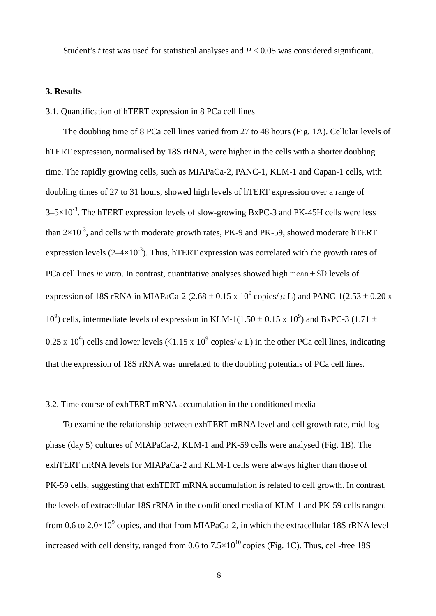Student's *t* test was used for statistical analyses and *P* < 0.05 was considered significant.

## **3. Results**

#### 3.1. Quantification of hTERT expression in 8 PCa cell lines

The doubling time of 8 PCa cell lines varied from 27 to 48 hours (Fig. 1A). Cellular levels of hTERT expression, normalised by 18S rRNA, were higher in the cells with a shorter doubling time. The rapidly growing cells, such as MIAPaCa-2, PANC-1, KLM-1 and Capan-1 cells, with doubling times of 27 to 31 hours, showed high levels of hTERT expression over a range of  $3-5\times10^{-3}$ . The hTERT expression levels of slow-growing BxPC-3 and PK-45H cells were less than  $2\times10^{-3}$ , and cells with moderate growth rates, PK-9 and PK-59, showed moderate hTERT expression levels  $(2-4\times10^{-3})$ . Thus, hTERT expression was correlated with the growth rates of PCa cell lines *in vitro*. In contrast, quantitative analyses showed high mean  $\pm$  SD levels of expression of 18S rRNA in MIAPaCa-2 (2.68  $\pm$  0.15 x 10<sup>9</sup> copies/ $\mu$  L) and PANC-1(2.53  $\pm$  0.20 x  $10^9$ ) cells, intermediate levels of expression in KLM-1(1.50  $\pm$  0.15 x 10<sup>9</sup>) and BxPC-3 (1.71  $\pm$ 0.25 x 10<sup>9</sup>) cells and lower levels ( $\langle 1.15 \times 10^9 \text{ copies/ } \mu \text{ L} \rangle$  in the other PCa cell lines, indicating that the expression of 18S rRNA was unrelated to the doubling potentials of PCa cell lines.

#### 3.2. Time course of exhTERT mRNA accumulation in the conditioned media

To examine the relationship between exhTERT mRNA level and cell growth rate, mid-log phase (day 5) cultures of MIAPaCa-2, KLM-1 and PK-59 cells were analysed (Fig. 1B). The exhTERT mRNA levels for MIAPaCa-2 and KLM-1 cells were always higher than those of PK-59 cells, suggesting that exhTERT mRNA accumulation is related to cell growth. In contrast, the levels of extracellular 18S rRNA in the conditioned media of KLM-1 and PK-59 cells ranged from 0.6 to  $2.0 \times 10^9$  copies, and that from MIAPaCa-2, in which the extracellular 18S rRNA level increased with cell density, ranged from 0.6 to  $7.5 \times 10^{10}$  copies (Fig. 1C). Thus, cell-free 18S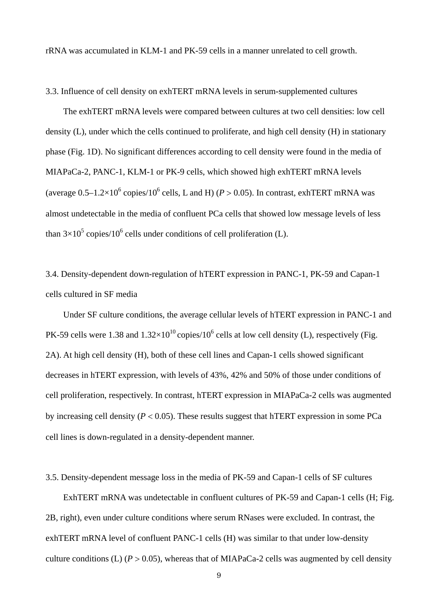rRNA was accumulated in KLM-1 and PK-59 cells in a manner unrelated to cell growth.

3.3. Influence of cell density on exhTERT mRNA levels in serum-supplemented cultures

The exhTERT mRNA levels were compared between cultures at two cell densities: low cell density (L), under which the cells continued to proliferate, and high cell density (H) in stationary phase (Fig. 1D). No significant differences according to cell density were found in the media of MIAPaCa-2, PANC-1, KLM-1 or PK-9 cells, which showed high exhTERT mRNA levels (average  $0.5-1.2\times10^6$  copies/ $10^6$  cells, L and H) ( $P > 0.05$ ). In contrast, exhTERT mRNA was almost undetectable in the media of confluent PCa cells that showed low message levels of less than  $3\times10^5$  copies/10<sup>6</sup> cells under conditions of cell proliferation (L).

3.4. Density-dependent down-regulation of hTERT expression in PANC-1, PK-59 and Capan-1 cells cultured in SF media

Under SF culture conditions, the average cellular levels of hTERT expression in PANC-1 and PK-59 cells were 1.38 and  $1.32 \times 10^{10}$  copies/10<sup>6</sup> cells at low cell density (L), respectively (Fig. 2A). At high cell density (H), both of these cell lines and Capan-1 cells showed significant decreases in hTERT expression, with levels of 43%, 42% and 50% of those under conditions of cell proliferation, respectively. In contrast, hTERT expression in MIAPaCa-2 cells was augmented by increasing cell density  $(P < 0.05)$ . These results suggest that hTERT expression in some PCa cell lines is down-regulated in a density-dependent manner.

3.5. Density-dependent message loss in the media of PK-59 and Capan-1 cells of SF cultures

ExhTERT mRNA was undetectable in confluent cultures of PK-59 and Capan-1 cells (H; Fig. 2B, right), even under culture conditions where serum RNases were excluded. In contrast, the exhTERT mRNA level of confluent PANC-1 cells (H) was similar to that under low-density culture conditions (L)  $(P > 0.05)$ , whereas that of MIAPaCa-2 cells was augmented by cell density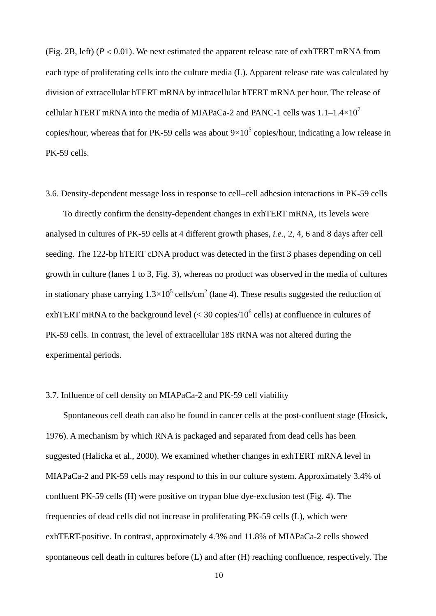(Fig. 2B, left) ( $P < 0.01$ ). We next estimated the apparent release rate of exhTERT mRNA from each type of proliferating cells into the culture media (L). Apparent release rate was calculated by division of extracellular hTERT mRNA by intracellular hTERT mRNA per hour. The release of cellular hTERT mRNA into the media of MIAPaCa-2 and PANC-1 cells was  $1.1-1.4\times10^{7}$ copies/hour, whereas that for PK-59 cells was about  $9\times10^5$  copies/hour, indicating a low release in PK-59 cells.

3.6. Density-dependent message loss in response to cell–cell adhesion interactions in PK-59 cells

To directly confirm the density-dependent changes in exhTERT mRNA, its levels were analysed in cultures of PK-59 cells at 4 different growth phases, *i.e.*, 2, 4, 6 and 8 days after cell seeding. The 122-bp hTERT cDNA product was detected in the first 3 phases depending on cell growth in culture (lanes 1 to 3, Fig. 3), whereas no product was observed in the media of cultures in stationary phase carrying  $1.3 \times 10^5$  cells/cm<sup>2</sup> (lane 4). These results suggested the reduction of exhTERT mRNA to the background level ( $<$  30 copies/10<sup>6</sup> cells) at confluence in cultures of PK-59 cells. In contrast, the level of extracellular 18S rRNA was not altered during the experimental periods.

#### 3.7. Influence of cell density on MIAPaCa-2 and PK-59 cell viability

Spontaneous cell death can also be found in cancer cells at the post-confluent stage (Hosick, 1976). A mechanism by which RNA is packaged and separated from dead cells has been suggested (Halicka et al., 2000). We examined whether changes in exhTERT mRNA level in MIAPaCa-2 and PK-59 cells may respond to this in our culture system. Approximately 3.4% of confluent PK-59 cells (H) were positive on trypan blue dye-exclusion test (Fig. 4). The frequencies of dead cells did not increase in proliferating PK-59 cells (L), which were exhTERT-positive. In contrast, approximately 4.3% and 11.8% of MIAPaCa-2 cells showed spontaneous cell death in cultures before (L) and after (H) reaching confluence, respectively. The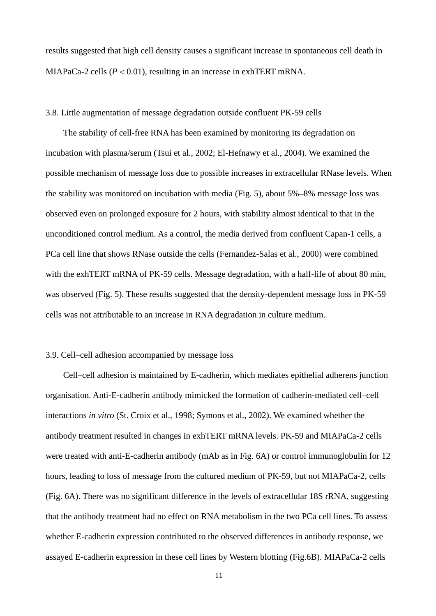results suggested that high cell density causes a significant increase in spontaneous cell death in MIAPaCa-2 cells  $(P < 0.01)$ , resulting in an increase in exhTERT mRNA.

#### 3.8. Little augmentation of message degradation outside confluent PK-59 cells

The stability of cell-free RNA has been examined by monitoring its degradation on incubation with plasma/serum (Tsui et al., 2002; El-Hefnawy et al., 2004). We examined the possible mechanism of message loss due to possible increases in extracellular RNase levels. When the stability was monitored on incubation with media (Fig. 5), about 5%–8% message loss was observed even on prolonged exposure for 2 hours, with stability almost identical to that in the unconditioned control medium. As a control, the media derived from confluent Capan-1 cells, a PCa cell line that shows RNase outside the cells (Fernandez-Salas et al., 2000) were combined with the exhTERT mRNA of PK-59 cells. Message degradation, with a half-life of about 80 min, was observed (Fig. 5). These results suggested that the density-dependent message loss in PK-59 cells was not attributable to an increase in RNA degradation in culture medium.

#### 3.9. Cell–cell adhesion accompanied by message loss

Cell–cell adhesion is maintained by E-cadherin, which mediates epithelial adherens junction organisation. Anti-E-cadherin antibody mimicked the formation of cadherin-mediated cell–cell interactions *in vitro* (St. Croix et al., 1998; Symons et al., 2002). We examined whether the antibody treatment resulted in changes in exhTERT mRNA levels. PK-59 and MIAPaCa-2 cells were treated with anti-E-cadherin antibody (mAb as in Fig. 6A) or control immunoglobulin for 12 hours, leading to loss of message from the cultured medium of PK-59, but not MIAPaCa-2, cells (Fig. 6A). There was no significant difference in the levels of extracellular 18S rRNA, suggesting that the antibody treatment had no effect on RNA metabolism in the two PCa cell lines. To assess whether E-cadherin expression contributed to the observed differences in antibody response, we assayed E-cadherin expression in these cell lines by Western blotting (Fig.6B). MIAPaCa-2 cells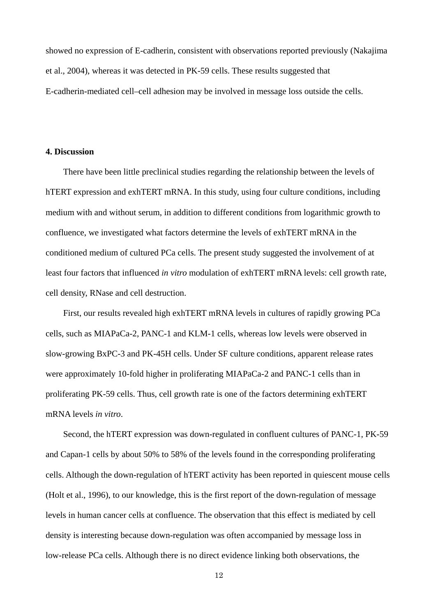showed no expression of E-cadherin, consistent with observations reported previously (Nakajima et al., 2004), whereas it was detected in PK-59 cells. These results suggested that E-cadherin-mediated cell–cell adhesion may be involved in message loss outside the cells.

## **4. Discussion**

There have been little preclinical studies regarding the relationship between the levels of hTERT expression and exhTERT mRNA. In this study, using four culture conditions, including medium with and without serum, in addition to different conditions from logarithmic growth to confluence, we investigated what factors determine the levels of exhTERT mRNA in the conditioned medium of cultured PCa cells. The present study suggested the involvement of at least four factors that influenced *in vitro* modulation of exhTERT mRNA levels: cell growth rate, cell density, RNase and cell destruction.

First, our results revealed high exhTERT mRNA levels in cultures of rapidly growing PCa cells, such as MIAPaCa-2, PANC-1 and KLM-1 cells, whereas low levels were observed in slow-growing BxPC-3 and PK-45H cells. Under SF culture conditions, apparent release rates were approximately 10-fold higher in proliferating MIAPaCa-2 and PANC-1 cells than in proliferating PK-59 cells. Thus, cell growth rate is one of the factors determining exhTERT mRNA levels *in vitro*.

Second, the hTERT expression was down-regulated in confluent cultures of PANC-1, PK-59 and Capan-1 cells by about 50% to 58% of the levels found in the corresponding proliferating cells. Although the down-regulation of hTERT activity has been reported in quiescent mouse cells (Holt et al., 1996), to our knowledge, this is the first report of the down-regulation of message levels in human cancer cells at confluence. The observation that this effect is mediated by cell density is interesting because down-regulation was often accompanied by message loss in low-release PCa cells. Although there is no direct evidence linking both observations, the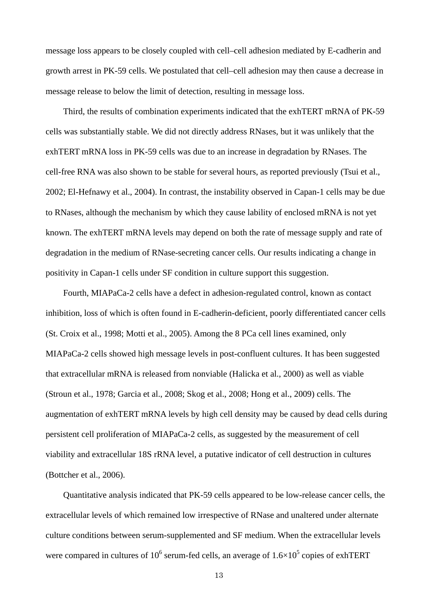message loss appears to be closely coupled with cell–cell adhesion mediated by E-cadherin and growth arrest in PK-59 cells. We postulated that cell–cell adhesion may then cause a decrease in message release to below the limit of detection, resulting in message loss.

Third, the results of combination experiments indicated that the exhTERT mRNA of PK-59 cells was substantially stable. We did not directly address RNases, but it was unlikely that the exhTERT mRNA loss in PK-59 cells was due to an increase in degradation by RNases. The cell-free RNA was also shown to be stable for several hours, as reported previously (Tsui et al., 2002; El-Hefnawy et al., 2004). In contrast, the instability observed in Capan-1 cells may be due to RNases, although the mechanism by which they cause lability of enclosed mRNA is not yet known. The exhTERT mRNA levels may depend on both the rate of message supply and rate of degradation in the medium of RNase-secreting cancer cells. Our results indicating a change in positivity in Capan-1 cells under SF condition in culture support this suggestion.

Fourth, MIAPaCa-2 cells have a defect in adhesion-regulated control, known as contact inhibition, loss of which is often found in E-cadherin-deficient, poorly differentiated cancer cells (St. Croix et al., 1998; Motti et al., 2005). Among the 8 PCa cell lines examined, only MIAPaCa-2 cells showed high message levels in post-confluent cultures. It has been suggested that extracellular mRNA is released from nonviable (Halicka et al., 2000) as well as viable (Stroun et al., 1978; Garcia et al., 2008; Skog et al., 2008; Hong et al., 2009) cells. The augmentation of exhTERT mRNA levels by high cell density may be caused by dead cells during persistent cell proliferation of MIAPaCa-2 cells, as suggested by the measurement of cell viability and extracellular 18S rRNA level, a putative indicator of cell destruction in cultures (Bottcher et al., 2006).

Quantitative analysis indicated that PK-59 cells appeared to be low-release cancer cells, the extracellular levels of which remained low irrespective of RNase and unaltered under alternate culture conditions between serum-supplemented and SF medium. When the extracellular levels were compared in cultures of 10<sup>6</sup> serum-fed cells, an average of  $1.6\times10^5$  copies of exhTERT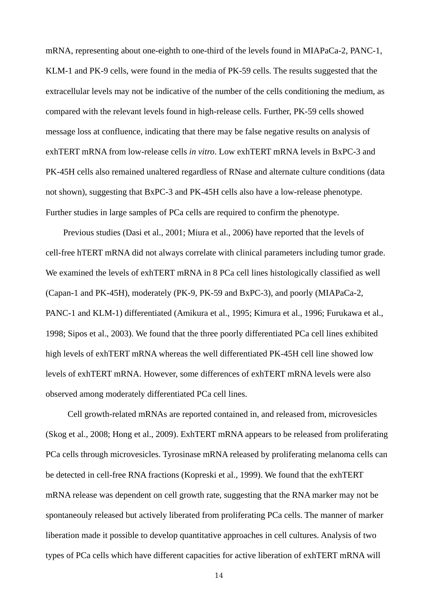mRNA, representing about one-eighth to one-third of the levels found in MIAPaCa-2, PANC-1, KLM-1 and PK-9 cells, were found in the media of PK-59 cells. The results suggested that the extracellular levels may not be indicative of the number of the cells conditioning the medium, as compared with the relevant levels found in high-release cells. Further, PK-59 cells showed message loss at confluence, indicating that there may be false negative results on analysis of exhTERT mRNA from low-release cells *in vitro*. Low exhTERT mRNA levels in BxPC-3 and PK-45H cells also remained unaltered regardless of RNase and alternate culture conditions (data not shown), suggesting that BxPC-3 and PK-45H cells also have a low-release phenotype. Further studies in large samples of PCa cells are required to confirm the phenotype.

Previous studies (Dasi et al., 2001; Miura et al., 2006) have reported that the levels of cell-free hTERT mRNA did not always correlate with clinical parameters including tumor grade. We examined the levels of exhTERT mRNA in 8 PCa cell lines histologically classified as well (Capan-1 and PK-45H), moderately (PK-9, PK-59 and BxPC-3), and poorly (MIAPaCa-2, PANC-1 and KLM-1) differentiated (Amikura et al., 1995; Kimura et al., 1996; Furukawa et al., 1998; Sipos et al., 2003). We found that the three poorly differentiated PCa cell lines exhibited high levels of exhTERT mRNA whereas the well differentiated PK-45H cell line showed low levels of exhTERT mRNA. However, some differences of exhTERT mRNA levels were also observed among moderately differentiated PCa cell lines.

 Cell growth-related mRNAs are reported contained in, and released from, microvesicles (Skog et al., 2008; Hong et al., 2009). ExhTERT mRNA appears to be released from proliferating PCa cells through microvesicles. Tyrosinase mRNA released by proliferating melanoma cells can be detected in cell-free RNA fractions (Kopreski et al., 1999). We found that the exhTERT mRNA release was dependent on cell growth rate, suggesting that the RNA marker may not be spontaneouly released but actively liberated from proliferating PCa cells. The manner of marker liberation made it possible to develop quantitative approaches in cell cultures. Analysis of two types of PCa cells which have different capacities for active liberation of exhTERT mRNA will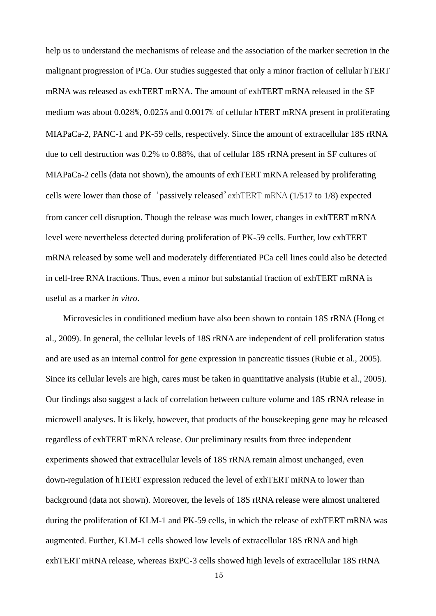help us to understand the mechanisms of release and the association of the marker secretion in the malignant progression of PCa. Our studies suggested that only a minor fraction of cellular hTERT mRNA was released as exhTERT mRNA. The amount of exhTERT mRNA released in the SF medium was about 0.028%, 0.025% and 0.0017% of cellular hTERT mRNA present in proliferating MIAPaCa-2, PANC-1 and PK-59 cells, respectively. Since the amount of extracellular 18S rRNA due to cell destruction was 0.2% to 0.88%, that of cellular 18S rRNA present in SF cultures of MIAPaCa-2 cells (data not shown), the amounts of exhTERT mRNA released by proliferating cells were lower than those of 'passively released'exhTERT mRNA (1/517 to 1/8) expected from cancer cell disruption. Though the release was much lower, changes in exhTERT mRNA level were nevertheless detected during proliferation of PK-59 cells. Further, low exhTERT mRNA released by some well and moderately differentiated PCa cell lines could also be detected in cell-free RNA fractions. Thus, even a minor but substantial fraction of exhTERT mRNA is useful as a marker *in vitro*.

Microvesicles in conditioned medium have also been shown to contain 18S rRNA (Hong et al., 2009). In general, the cellular levels of 18S rRNA are independent of cell proliferation status and are used as an internal control for gene expression in pancreatic tissues (Rubie et al., 2005). Since its cellular levels are high, cares must be taken in quantitative analysis (Rubie et al., 2005). Our findings also suggest a lack of correlation between culture volume and 18S rRNA release in microwell analyses. It is likely, however, that products of the housekeeping gene may be released regardless of exhTERT mRNA release. Our preliminary results from three independent experiments showed that extracellular levels of 18S rRNA remain almost unchanged, even down-regulation of hTERT expression reduced the level of exhTERT mRNA to lower than background (data not shown). Moreover, the levels of 18S rRNA release were almost unaltered during the proliferation of KLM-1 and PK-59 cells, in which the release of exhTERT mRNA was augmented. Further, KLM-1 cells showed low levels of extracellular 18S rRNA and high exhTERT mRNA release, whereas BxPC-3 cells showed high levels of extracellular 18S rRNA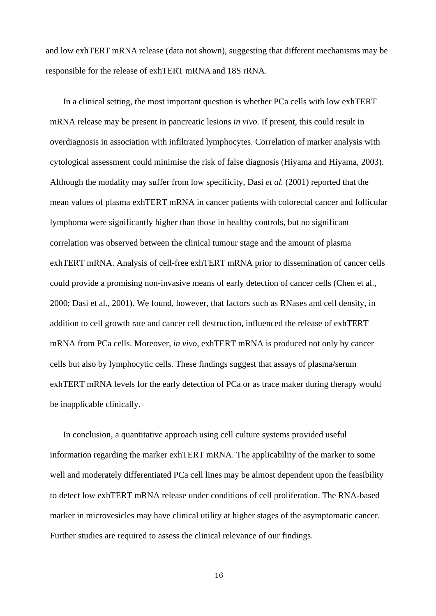and low exhTERT mRNA release (data not shown), suggesting that different mechanisms may be responsible for the release of exhTERT mRNA and 18S rRNA.

In a clinical setting, the most important question is whether PCa cells with low exhTERT mRNA release may be present in pancreatic lesions *in vivo*. If present, this could result in overdiagnosis in association with infiltrated lymphocytes. Correlation of marker analysis with cytological assessment could minimise the risk of false diagnosis (Hiyama and Hiyama, 2003). Although the modality may suffer from low specificity, Dasi *et al.* (2001) reported that the mean values of plasma exhTERT mRNA in cancer patients with colorectal cancer and follicular lymphoma were significantly higher than those in healthy controls, but no significant correlation was observed between the clinical tumour stage and the amount of plasma exhTERT mRNA. Analysis of cell-free exhTERT mRNA prior to dissemination of cancer cells could provide a promising non-invasive means of early detection of cancer cells (Chen et al., 2000; Dasi et al., 2001). We found, however, that factors such as RNases and cell density, in addition to cell growth rate and cancer cell destruction, influenced the release of exhTERT mRNA from PCa cells. Moreover, *in vivo*, exhTERT mRNA is produced not only by cancer cells but also by lymphocytic cells. These findings suggest that assays of plasma/serum exhTERT mRNA levels for the early detection of PCa or as trace maker during therapy would be inapplicable clinically.

In conclusion, a quantitative approach using cell culture systems provided useful information regarding the marker exhTERT mRNA. The applicability of the marker to some well and moderately differentiated PCa cell lines may be almost dependent upon the feasibility to detect low exhTERT mRNA release under conditions of cell proliferation. The RNA-based marker in microvesicles may have clinical utility at higher stages of the asymptomatic cancer. Further studies are required to assess the clinical relevance of our findings.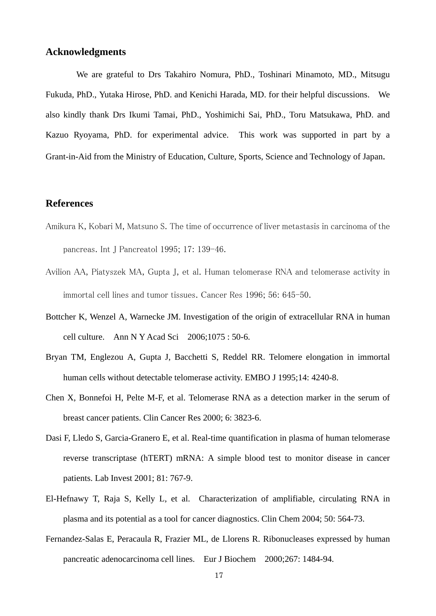# **Acknowledgments**

We are grateful to Drs Takahiro Nomura, PhD., Toshinari Minamoto, MD., Mitsugu Fukuda, PhD., Yutaka Hirose, PhD. and Kenichi Harada, MD. for their helpful discussions. We also kindly thank Drs Ikumi Tamai, PhD., Yoshimichi Sai, PhD., Toru Matsukawa, PhD. and Kazuo Ryoyama, PhD. for experimental advice. This work was supported in part by a Grant-in-Aid from the Ministry of Education, Culture, Sports, Science and Technology of Japan.

# **References**

- Amikura K, Kobari M, Matsuno S. The time of occurrence of liver metastasis in carcinoma of the pancreas. Int J Pancreatol 1995; 17: 139-46.
- Avilion AA, Piatyszek MA, Gupta J, et al. Human telomerase RNA and telomerase activity in immortal cell lines and tumor tissues. Cancer Res 1996; 56: 645-50.
- Bottcher K, Wenzel A, Warnecke JM. Investigation of the origin of extracellular RNA in human cell culture. Ann N Y Acad Sci 2006;1075 : 50-6.
- Bryan TM, Englezou A, Gupta J, Bacchetti S, Reddel RR. Telomere elongation in immortal human cells without detectable telomerase activity. EMBO J 1995;14: 4240-8.
- Chen X, Bonnefoi H, Pelte M-F, et al. Telomerase RNA as a detection marker in the serum of breast cancer patients. Clin Cancer Res 2000; 6: 3823-6.
- Dasi F, Lledo S, Garcia-Granero E, et al. Real-time quantification in plasma of human telomerase reverse transcriptase (hTERT) mRNA: A simple blood test to monitor disease in cancer patients. Lab Invest 2001; 81: 767-9.
- El-Hefnawy T, Raja S, Kelly L, et al. Characterization of amplifiable, circulating RNA in plasma and its potential as a tool for cancer diagnostics. Clin Chem 2004; 50: 564-73.
- Fernandez-Salas E, Peracaula R, Frazier ML, de Llorens R. Ribonucleases expressed by human pancreatic adenocarcinoma cell lines. Eur J Biochem 2000;267: 1484-94.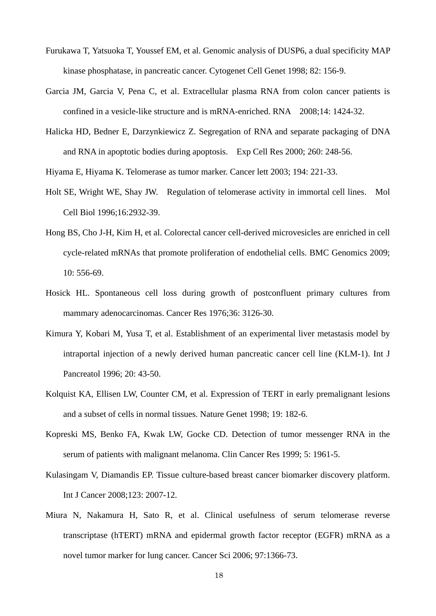- Furukawa T, Yatsuoka T, Youssef EM, et al. Genomic analysis of DUSP6, a dual specificity MAP kinase phosphatase, in pancreatic cancer. Cytogenet Cell Genet 1998; 82: 156-9.
- Garcia JM, Garcia V, Pena C, et al. Extracellular plasma RNA from colon cancer patients is confined in a vesicle-like structure and is mRNA-enriched. RNA 2008;14: 1424-32.
- Halicka HD, Bedner E, Darzynkiewicz Z. Segregation of RNA and separate packaging of DNA and RNA in apoptotic bodies during apoptosis. Exp Cell Res 2000; 260: 248-56.

Hiyama E, Hiyama K. Telomerase as tumor marker. Cancer lett 2003; 194: 221-33.

- Holt SE, Wright WE, Shay JW. Regulation of telomerase activity in immortal cell lines. Mol Cell Biol 1996;16:2932-39.
- Hong BS, Cho J-H, Kim H, et al. Colorectal cancer cell-derived microvesicles are enriched in cell cycle-related mRNAs that promote proliferation of endothelial cells. BMC Genomics 2009; 10: 556-69.
- Hosick HL. Spontaneous cell loss during growth of postconfluent primary cultures from mammary adenocarcinomas. Cancer Res 1976;36: 3126-30.
- Kimura Y, Kobari M, Yusa T, et al. Establishment of an experimental liver metastasis model by intraportal injection of a newly derived human pancreatic cancer cell line (KLM-1). Int J Pancreatol 1996; 20: 43-50.
- Kolquist KA, Ellisen LW, Counter CM, et al. Expression of TERT in early premalignant lesions and a subset of cells in normal tissues. Nature Genet 1998; 19: 182-6.
- Kopreski MS, Benko FA, Kwak LW, Gocke CD. Detection of tumor messenger RNA in the serum of patients with malignant melanoma. Clin Cancer Res 1999; 5: 1961-5.
- Kulasingam V, Diamandis EP. Tissue culture-based breast cancer biomarker discovery platform. Int J Cancer 2008;123: 2007-12.
- Miura N, Nakamura H, Sato R, et al. Clinical usefulness of serum telomerase reverse transcriptase (hTERT) mRNA and epidermal growth factor receptor (EGFR) mRNA as a novel tumor marker for lung cancer. Cancer Sci 2006; 97:1366-73.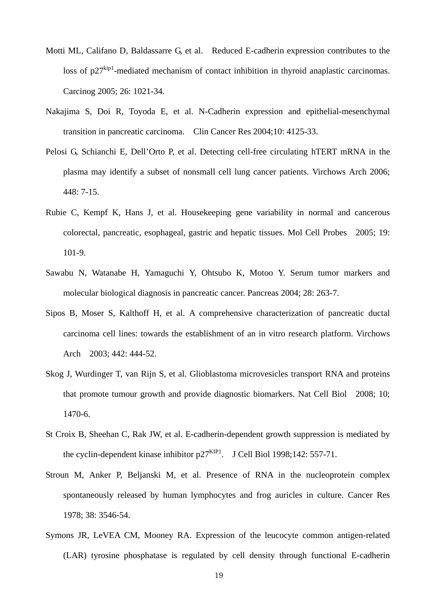- Motti ML, Califano D, Baldassarre G, et al. Reduced E-cadherin expression contributes to the loss of  $p27^{kip1}$ -mediated mechanism of contact inhibition in thyroid anaplastic carcinomas. Carcinog 2005; 26: 1021-34.
- Nakajima S, Doi R, Toyoda E, et al. N-Cadherin expression and epithelial-mesenchymal transition in pancreatic carcinoma. Clin Cancer Res 2004;10: 4125-33.
- Pelosi G, Schianchi E, Dell'Orto P, et al. Detecting cell-free circulating hTERT mRNA in the plasma may identify a subset of nonsmall cell lung cancer patients. Virchows Arch 2006; 448: 7-15.
- Rubie C, Kempf K, Hans J, et al. Housekeeping gene variability in normal and cancerous colorectal, pancreatic, esophageal, gastric and hepatic tissues. Mol Cell Probes 2005; 19: 101-9.
- Sawabu N, Watanabe H, Yamaguchi Y, Ohtsubo K, Motoo Y. Serum tumor markers and molecular biological diagnosis in pancreatic cancer. Pancreas 2004; 28: 263-7.
- Sipos B, Moser S, Kalthoff H, et al. A comprehensive characterization of pancreatic ductal carcinoma cell lines: towards the establishment of an in vitro research platform. Virchows Arch 2003; 442: 444-52.
- Skog J, Wurdinger T, van Rijn S, et al. Glioblastoma microvesicles transport RNA and proteins that promote tumour growth and provide diagnostic biomarkers. Nat Cell Biol 2008; 10; 1470-6.
- St Croix B, Sheehan C, Rak JW, et al. E-cadherin-dependent growth suppression is mediated by the cyclin-dependent kinase inhibitor  $p27<sup>KIP1</sup>$ . J Cell Biol 1998;142: 557-71.
- Stroun M, Anker P, Beljanski M, et al. Presence of RNA in the nucleoprotein complex spontaneously released by human lymphocytes and frog auricles in culture. Cancer Res 1978; 38: 3546-54.
- Symons JR, LeVEA CM, Mooney RA. Expression of the leucocyte common antigen-related (LAR) tyrosine phosphatase is regulated by cell density through functional E-cadherin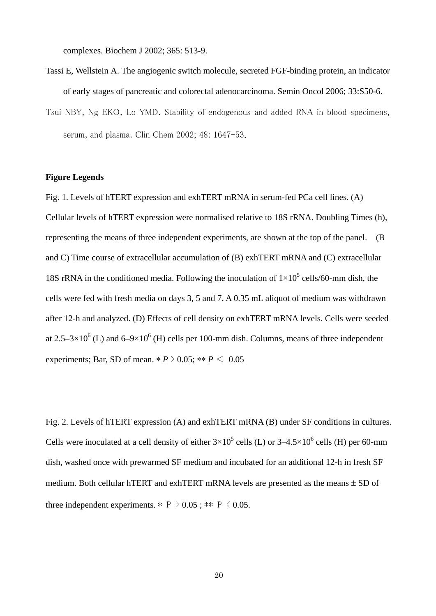complexes. Biochem J 2002; 365: 513-9.

- Tassi E, Wellstein A. The angiogenic switch molecule, secreted FGF-binding protein, an indicator of early stages of pancreatic and colorectal adenocarcinoma. Semin Oncol 2006; 33:S50-6.
- Tsui NBY, Ng EKO, Lo YMD. Stability of endogenous and added RNA in blood specimens, serum, and plasma. Clin Chem 2002; 48: 1647-53.

## **Figure Legends**

Fig. 1. Levels of hTERT expression and exhTERT mRNA in serum-fed PCa cell lines. (A) Cellular levels of hTERT expression were normalised relative to 18S rRNA. Doubling Times (h), representing the means of three independent experiments, are shown at the top of the panel. (B and C) Time course of extracellular accumulation of (B) exhTERT mRNA and (C) extracellular 18S rRNA in the conditioned media. Following the inoculation of  $1 \times 10^5$  cells/60-mm dish, the cells were fed with fresh media on days 3, 5 and 7. A 0.35 mL aliquot of medium was withdrawn after 12-h and analyzed. (D) Effects of cell density on exhTERT mRNA levels. Cells were seeded at 2.5–3×10<sup>6</sup> (L) and 6–9×10<sup>6</sup> (H) cells per 100-mm dish. Columns, means of three independent experiments; Bar, SD of mean.  $* P > 0.05$ ;  $** P < 0.05$ 

Fig. 2. Levels of hTERT expression (A) and exhTERT mRNA (B) under SF conditions in cultures. Cells were inoculated at a cell density of either  $3\times10^5$  cells (L) or  $3-4.5\times10^6$  cells (H) per 60-mm dish, washed once with prewarmed SF medium and incubated for an additional 12-h in fresh SF medium. Both cellular hTERT and exhTERT mRNA levels are presented as the means  $\pm$  SD of three independent experiments.  $*$  P > 0.05;  $**$  P < 0.05.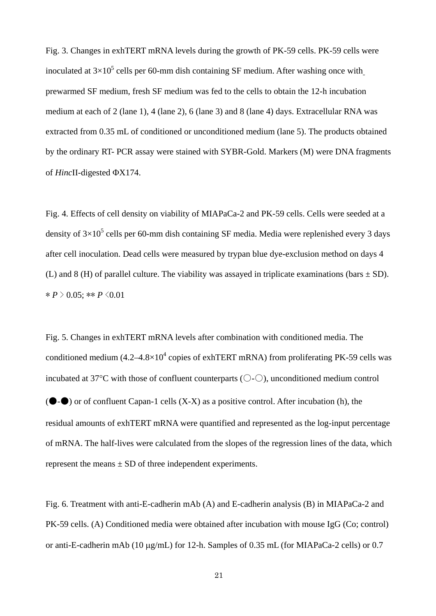Fig. 3. Changes in exhTERT mRNA levels during the growth of PK-59 cells. PK-59 cells were inoculated at  $3\times10^5$  cells per 60-mm dish containing SF medium. After washing once with prewarmed SF medium, fresh SF medium was fed to the cells to obtain the 12-h incubation medium at each of 2 (lane 1), 4 (lane 2), 6 (lane 3) and 8 (lane 4) days. Extracellular RNA was extracted from 0.35 mL of conditioned or unconditioned medium (lane 5). The products obtained by the ordinary RT- PCR assay were stained with SYBR-Gold. Markers (M) were DNA fragments of *HincII*-digested  $\Phi$ X174.

Fig. 4. Effects of cell density on viability of MIAPaCa-2 and PK-59 cells. Cells were seeded at a density of  $3\times10^5$  cells per 60-mm dish containing SF media. Media were replenished every 3 days after cell inoculation. Dead cells were measured by trypan blue dye-exclusion method on days 4 (L) and 8 (H) of parallel culture. The viability was assayed in triplicate examinations (bars  $\pm$  SD).  $* P > 0.05$ ; \*\* *P*  $\leq 0.01$ 

Fig. 5. Changes in exhTERT mRNA levels after combination with conditioned media. The conditioned medium  $(4.2 - 4.8 \times 10^4$  copies of exhTERT mRNA) from proliferating PK-59 cells was incubated at 37 $\mathrm{C}$  with those of confluent counterparts ( $\mathrm{O}\text{-}\mathrm{O}$ ), unconditioned medium control  $(\bullet \bullet)$  or of confluent Capan-1 cells  $(X-X)$  as a positive control. After incubation (h), the residual amounts of exhTERT mRNA were quantified and represented as the log-input percentage of mRNA. The half-lives were calculated from the slopes of the regression lines of the data, which represent the means  $\pm$  SD of three independent experiments.

Fig. 6. Treatment with anti-E-cadherin mAb (A) and E-cadherin analysis (B) in MIAPaCa-2 and PK-59 cells. (A) Conditioned media were obtained after incubation with mouse IgG (Co; control) or anti-E-cadherin mAb (10  $\mu$ g/mL) for 12-h. Samples of 0.35 mL (for MIAPaCa-2 cells) or 0.7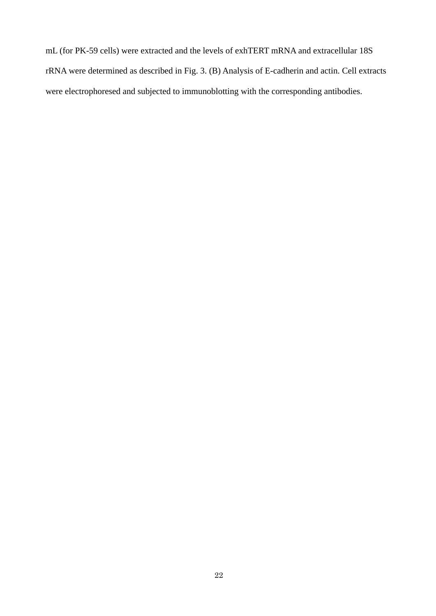mL (for PK-59 cells) were extracted and the levels of exhTERT mRNA and extracellular 18S rRNA were determined as described in Fig. 3. (B) Analysis of E-cadherin and actin. Cell extracts were electrophoresed and subjected to immunoblotting with the corresponding antibodies.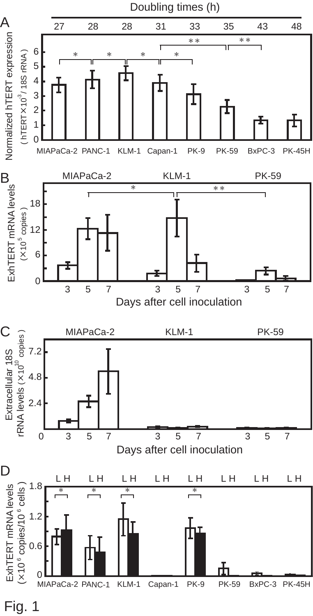

Fig. 1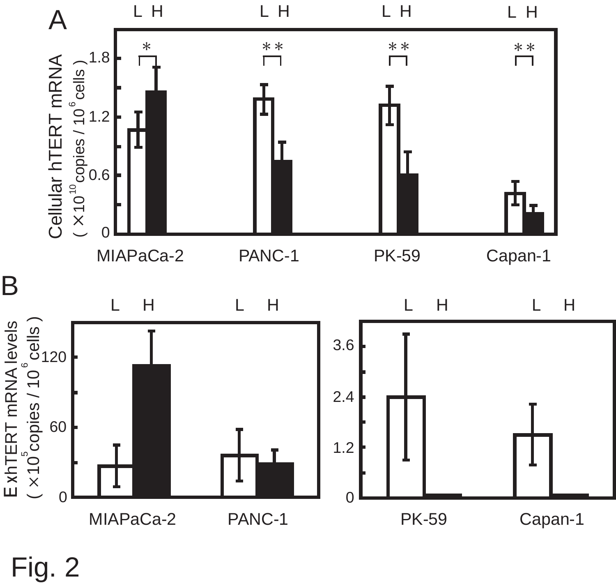

Fig. 2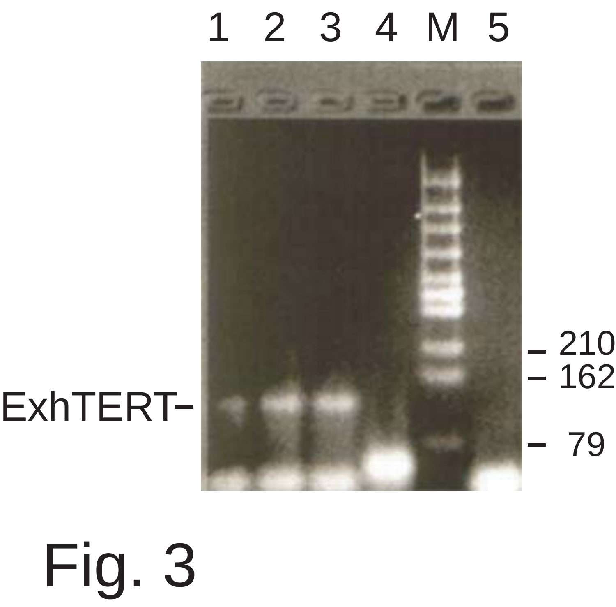# 1 2 3 4M5



210 162 79

Fig. 3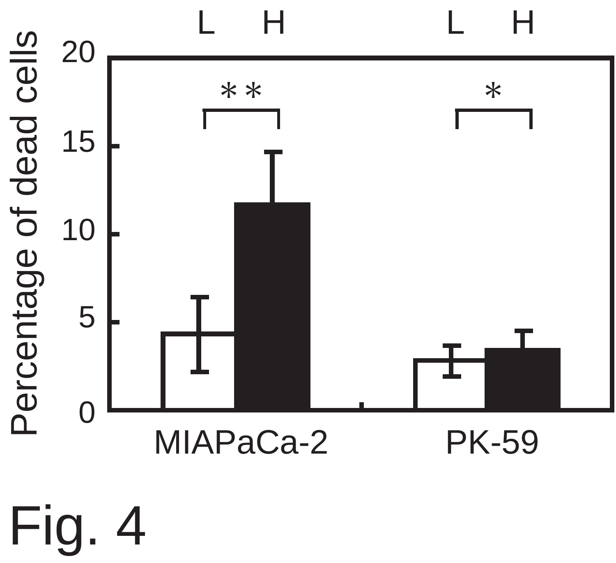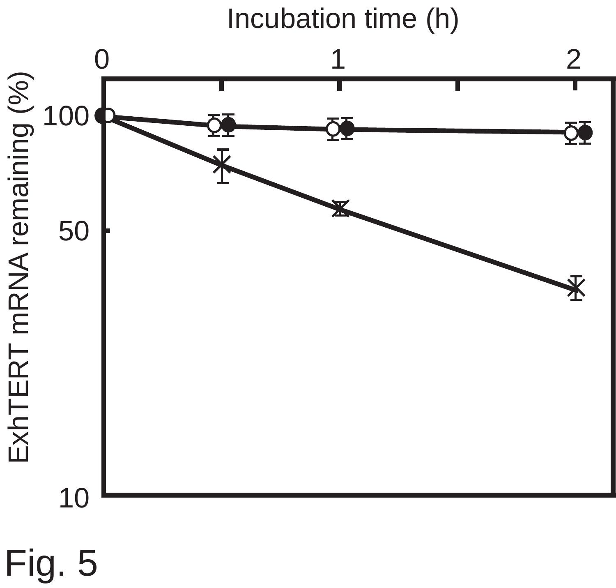Incubation time (h)



Fig. 5